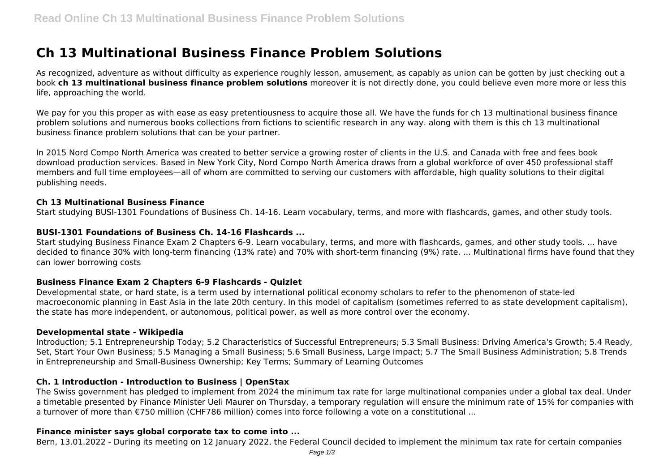# **Ch 13 Multinational Business Finance Problem Solutions**

As recognized, adventure as without difficulty as experience roughly lesson, amusement, as capably as union can be gotten by just checking out a book **ch 13 multinational business finance problem solutions** moreover it is not directly done, you could believe even more more or less this life, approaching the world.

We pay for you this proper as with ease as easy pretentiousness to acquire those all. We have the funds for ch 13 multinational business finance problem solutions and numerous books collections from fictions to scientific research in any way. along with them is this ch 13 multinational business finance problem solutions that can be your partner.

In 2015 Nord Compo North America was created to better service a growing roster of clients in the U.S. and Canada with free and fees book download production services. Based in New York City, Nord Compo North America draws from a global workforce of over 450 professional staff members and full time employees—all of whom are committed to serving our customers with affordable, high quality solutions to their digital publishing needs.

## **Ch 13 Multinational Business Finance**

Start studying BUSI-1301 Foundations of Business Ch. 14-16. Learn vocabulary, terms, and more with flashcards, games, and other study tools.

## **BUSI-1301 Foundations of Business Ch. 14-16 Flashcards ...**

Start studying Business Finance Exam 2 Chapters 6-9. Learn vocabulary, terms, and more with flashcards, games, and other study tools. ... have decided to finance 30% with long-term financing (13% rate) and 70% with short-term financing (9%) rate. ... Multinational firms have found that they can lower borrowing costs

# **Business Finance Exam 2 Chapters 6-9 Flashcards - Quizlet**

Developmental state, or hard state, is a term used by international political economy scholars to refer to the phenomenon of state-led macroeconomic planning in East Asia in the late 20th century. In this model of capitalism (sometimes referred to as state development capitalism), the state has more independent, or autonomous, political power, as well as more control over the economy.

#### **Developmental state - Wikipedia**

Introduction; 5.1 Entrepreneurship Today; 5.2 Characteristics of Successful Entrepreneurs; 5.3 Small Business: Driving America's Growth; 5.4 Ready, Set, Start Your Own Business; 5.5 Managing a Small Business; 5.6 Small Business, Large Impact; 5.7 The Small Business Administration; 5.8 Trends in Entrepreneurship and Small-Business Ownership; Key Terms; Summary of Learning Outcomes

# **Ch. 1 Introduction - Introduction to Business | OpenStax**

The Swiss government has pledged to implement from 2024 the minimum tax rate for large multinational companies under a global tax deal. Under a timetable presented by Finance Minister Ueli Maurer on Thursday, a temporary regulation will ensure the minimum rate of 15% for companies with a turnover of more than €750 million (CHF786 million) comes into force following a vote on a constitutional ...

# **Finance minister says global corporate tax to come into ...**

Bern, 13.01.2022 - During its meeting on 12 January 2022, the Federal Council decided to implement the minimum tax rate for certain companies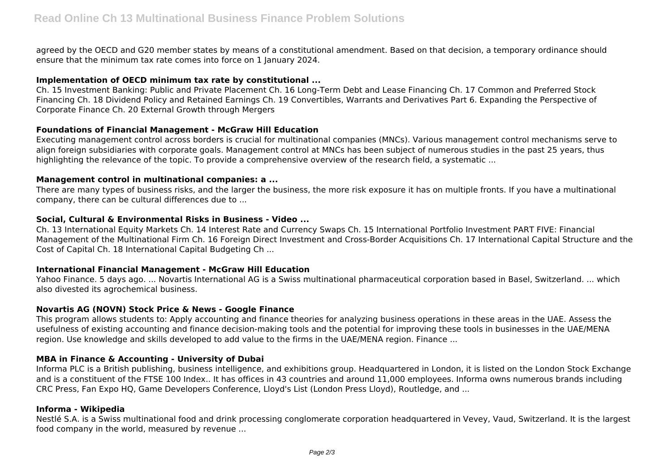agreed by the OECD and G20 member states by means of a constitutional amendment. Based on that decision, a temporary ordinance should ensure that the minimum tax rate comes into force on 1 January 2024.

## **Implementation of OECD minimum tax rate by constitutional ...**

Ch. 15 Investment Banking: Public and Private Placement Ch. 16 Long-Term Debt and Lease Financing Ch. 17 Common and Preferred Stock Financing Ch. 18 Dividend Policy and Retained Earnings Ch. 19 Convertibles, Warrants and Derivatives Part 6. Expanding the Perspective of Corporate Finance Ch. 20 External Growth through Mergers

# **Foundations of Financial Management - McGraw Hill Education**

Executing management control across borders is crucial for multinational companies (MNCs). Various management control mechanisms serve to align foreign subsidiaries with corporate goals. Management control at MNCs has been subject of numerous studies in the past 25 years, thus highlighting the relevance of the topic. To provide a comprehensive overview of the research field, a systematic ...

## **Management control in multinational companies: a ...**

There are many types of business risks, and the larger the business, the more risk exposure it has on multiple fronts. If you have a multinational company, there can be cultural differences due to ...

## **Social, Cultural & Environmental Risks in Business - Video ...**

Ch. 13 International Equity Markets Ch. 14 Interest Rate and Currency Swaps Ch. 15 International Portfolio Investment PART FIVE: Financial Management of the Multinational Firm Ch. 16 Foreign Direct Investment and Cross-Border Acquisitions Ch. 17 International Capital Structure and the Cost of Capital Ch. 18 International Capital Budgeting Ch ...

#### **International Financial Management - McGraw Hill Education**

Yahoo Finance. 5 days ago. ... Novartis International AG is a Swiss multinational pharmaceutical corporation based in Basel, Switzerland. ... which also divested its agrochemical business.

# **Novartis AG (NOVN) Stock Price & News - Google Finance**

This program allows students to: Apply accounting and finance theories for analyzing business operations in these areas in the UAE. Assess the usefulness of existing accounting and finance decision-making tools and the potential for improving these tools in businesses in the UAE/MENA region. Use knowledge and skills developed to add value to the firms in the UAE/MENA region. Finance ...

# **MBA in Finance & Accounting - University of Dubai**

Informa PLC is a British publishing, business intelligence, and exhibitions group. Headquartered in London, it is listed on the London Stock Exchange and is a constituent of the FTSE 100 Index.. It has offices in 43 countries and around 11,000 employees. Informa owns numerous brands including CRC Press, Fan Expo HQ, Game Developers Conference, Lloyd's List (London Press Lloyd), Routledge, and ...

# **Informa - Wikipedia**

Nestlé S.A. is a Swiss multinational food and drink processing conglomerate corporation headquartered in Vevey, Vaud, Switzerland. It is the largest food company in the world, measured by revenue ...